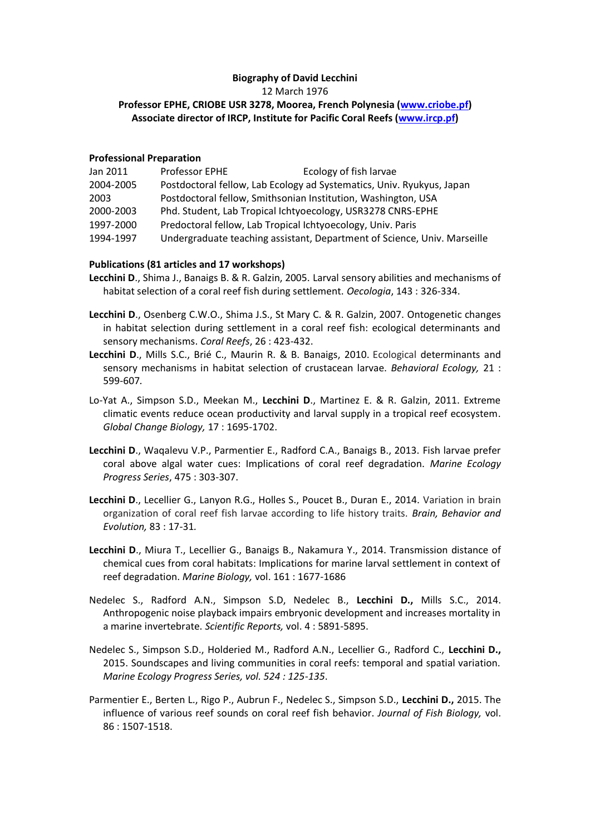## **Biography of David Lecchini** 12 March 1976 **Professor EPHE, CRIOBE USR 3278, Moorea, French Polynesia [\(www.criobe.pf\)](http://www.criobe.pf/) Associate director of IRCP, Institute for Pacific Coral Reefs [\(www.ircp.pf\)](http://www.ircp.pf/)**

## **Professional Preparation**

| Jan 2011  | Professor EPHE                                                        | Ecology of fish larvae                                                   |
|-----------|-----------------------------------------------------------------------|--------------------------------------------------------------------------|
| 2004-2005 | Postdoctoral fellow, Lab Ecology ad Systematics, Univ. Ryukyus, Japan |                                                                          |
| 2003      | Postdoctoral fellow, Smithsonian Institution, Washington, USA         |                                                                          |
| 2000-2003 | Phd. Student, Lab Tropical Ichtyoecology, USR3278 CNRS-EPHE           |                                                                          |
| 1997-2000 | Predoctoral fellow, Lab Tropical Ichtyoecology, Univ. Paris           |                                                                          |
| 1994-1997 |                                                                       | Undergraduate teaching assistant, Department of Science, Univ. Marseille |

## **Publications (81 articles and 17 workshops)**

- **Lecchini D**., Shima J., Banaigs B. & R. Galzin, 2005. Larval sensory abilities and mechanisms of habitat selection of a coral reef fish during settlement. *Oecologia*, 143 : 326-334.
- **Lecchini D**., Osenberg C.W.O., Shima J.S., St Mary C. & R. Galzin, 2007. Ontogenetic changes in habitat selection during settlement in a coral reef fish: ecological determinants and sensory mechanisms. *Coral Reefs*, 26 : 423-432.
- **Lecchini D**., Mills S.C., Brié C., Maurin R. & B. Banaigs, 2010. Ecological determinants and sensory mechanisms in habitat selection of crustacean larvae. *Behavioral Ecology,* 21 : 599-607*.*
- Lo-Yat A., Simpson S.D., Meekan M., **Lecchini D**., Martinez E. & R. Galzin, 2011. Extreme climatic events reduce ocean productivity and larval supply in a tropical reef ecosystem. *Global Change Biology,* 17 : 1695-1702.
- **Lecchini D**., Waqalevu V.P., Parmentier E., Radford C.A., Banaigs B., 2013. Fish larvae prefer coral above algal water cues: Implications of coral reef degradation. *Marine Ecology Progress Series*, 475 : 303-307.
- **Lecchini D**., Lecellier G., Lanyon R.G., Holles S., Poucet B., Duran E., 2014. Variation in brain organization of coral reef fish larvae according to life history traits. *Brain, Behavior and Evolution,* 83 : 17-31*.*
- **Lecchini D**., Miura T., Lecellier G., Banaigs B., Nakamura Y., 2014. Transmission distance of chemical cues from coral habitats: Implications for marine larval settlement in context of reef degradation. *Marine Biology,* vol. 161 : 1677-1686
- Nedelec S., Radford A.N., Simpson S.D, Nedelec B., **Lecchini D.,** Mills S.C., 2014. Anthropogenic noise playback impairs embryonic development and increases mortality in a marine invertebrate. *Scientific Reports,* vol. 4 : 5891-5895.
- Nedelec S., Simpson S.D., Holderied M., Radford A.N., Lecellier G., Radford C., **Lecchini D.,** 2015. Soundscapes and living communities in coral reefs: temporal and spatial variation. *Marine Ecology Progress Series, vol. 524 : 125-135*.
- Parmentier E., Berten L., Rigo P., Aubrun F., Nedelec S., Simpson S.D., **Lecchini D.,** 2015. The influence of various reef sounds on coral reef fish behavior. *Journal of Fish Biology,* vol. 86 : 1507-1518.